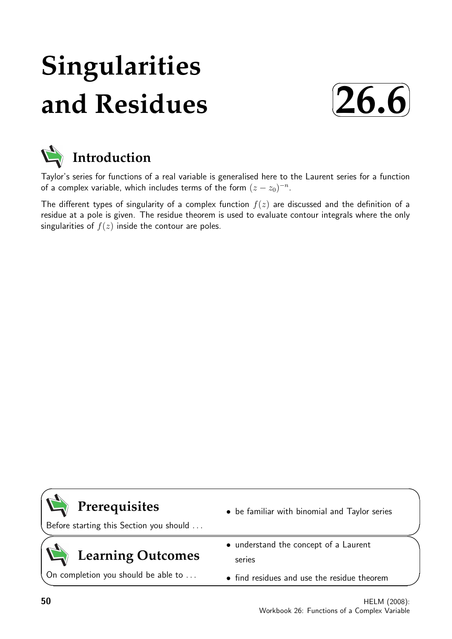# **Singularities and Residues**





Taylor's series for functions of a real variable is generalised here to the Laurent series for a function of a complex variable, which includes terms of the form  $(z-z_0)^{-n}$ .

The different types of singularity of a complex function  $f(z)$  are discussed and the definition of a residue at a pole is given. The residue theorem is used to evaluate contour integrals where the only singularities of  $f(z)$  inside the contour are poles.

### **Prerequisites**

Before starting this Section you should . . .

## **Learning Outcomes**

On completion you should be able to ...

- be familiar with binomial and Taylor series
- understand the concept of a Laurent series
- find residues and use the residue theorem

 $\overline{\phantom{0}}$ 

 $\searrow$ 

 $\geq$ 

 $\overline{\phantom{0}}$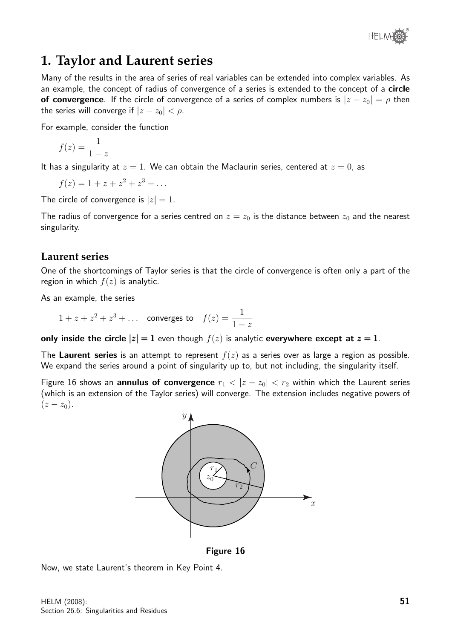

### **1. Taylor and Laurent series**

Many of the results in the area of series of real variables can be extended into complex variables. As an example, the concept of radius of convergence of a series is extended to the concept of a **circle** of convergence. If the circle of convergence of a series of complex numbers is  $|z - z_0| = \rho$  then the series will converge if  $|z - z_0| < \rho$ .

For example, consider the function

$$
f(z) = \frac{1}{1-z}
$$

It has a singularity at  $z = 1$ . We can obtain the Maclaurin series, centered at  $z = 0$ , as

 $f(z) = 1 + z + z^2 + z^3 + \dots$ 

The circle of convergence is  $|z|=1$ .

The radius of convergence for a series centred on  $z = z_0$  is the distance between  $z_0$  and the nearest singularity.

#### **Laurent series**

One of the shortcomings of Taylor series is that the circle of convergence is often only a part of the region in which  $f(z)$  is analytic.

As an example, the series

 $1 + z + z^2 + z^3 + \dots$  converges to  $f(z) = \frac{1}{1-z}$  $1-z$ 

only inside the circle  $|z| = 1$  even though  $f(z)$  is analytic everywhere except at  $z = 1$ .

The Laurent series is an attempt to represent  $f(z)$  as a series over as large a region as possible. We expand the series around a point of singularity up to, but not including, the singularity itself.

Figure 16 shows an **annulus of convergence**  $r_1 < |z - z_0| < r_2$  within which the Laurent series (which is an extension of the Taylor series) will converge. The extension includes negative powers of  $(z - z_0)$ .



Figure 16

Now, we state Laurent's theorem in Key Point 4.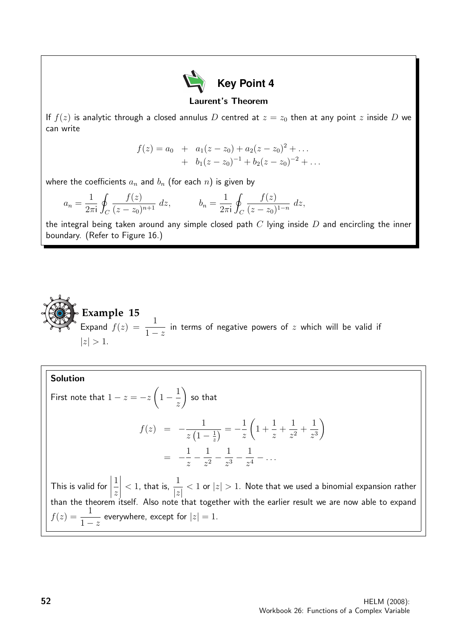

#### Laurent's Theorem

If  $f(z)$  is analytic through a closed annulus D centred at  $z = z_0$  then at any point z inside D we can write

$$
f(z) = a_0 + a_1(z - z_0) + a_2(z - z_0)^2 + \dots
$$
  
+ 
$$
b_1(z - z_0)^{-1} + b_2(z - z_0)^{-2} + \dots
$$

where the coefficients  $a_n$  and  $b_n$  (for each n) is given by

$$
a_n = \frac{1}{2\pi i} \oint_C \frac{f(z)}{(z - z_0)^{n+1}} dz, \qquad b_n = \frac{1}{2\pi i} \oint_C \frac{f(z)}{(z - z_0)^{1-n}} dz,
$$

the integral being taken around any simple closed path  $C$  lying inside  $D$  and encircling the inner boundary. (Refer to Figure 16.)



Solution

First note that 
$$
1 - z = -z \left( 1 - \frac{1}{z} \right)
$$
 so that  
\n
$$
f(z) = -\frac{1}{z \left( 1 - \frac{1}{z} \right)} = -\frac{1}{z} \left( 1 + \frac{1}{z} + \frac{1}{z^2} + \frac{1}{z^3} \right)
$$
\n
$$
= -\frac{1}{z} - \frac{1}{z^2} - \frac{1}{z^3} - \frac{1}{z^4} - \dots
$$

This is valid for  $\begin{array}{c} \begin{array}{c} \begin{array}{c} \end{array} \\ \begin{array}{c} \end{array} \end{array} \end{array}$ 1 z  $\overline{\phantom{a}}$  $< 1$ , that is,  $\frac{1}{1}$  $|z|$  $< 1$  or  $|z| > 1$ . Note that we used a binomial expansion rather than the theorem itself. Also note that together with the earlier result we are now able to expand  $f(z) = \frac{1}{1-z}$  $1-z$ everywhere, except for  $|z|=1$ .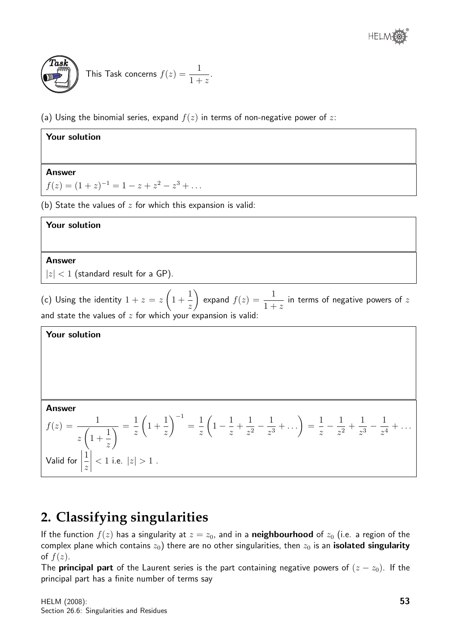

#### This Task concerns  $f(z) = \frac{1}{1+z^2}$  $1 + z$ .

(a) Using the binomial series, expand  $f(z)$  in terms of non-negative power of z:

| Your solution                                                                                                         |  |
|-----------------------------------------------------------------------------------------------------------------------|--|
|                                                                                                                       |  |
| <b>Answer</b>                                                                                                         |  |
| $f(z) = (1 + z)^{-1} = 1 - z + z^2 - z^3 + \dots$                                                                     |  |
| (b) State the values of $z$ for which this expansion is valid:                                                        |  |
| Your solution                                                                                                         |  |
|                                                                                                                       |  |
| <b>Answer</b>                                                                                                         |  |
| $ z $ < 1 (standard result for a GP).                                                                                 |  |
| (c) Using the identity $1+z=z\left(1+\frac{1}{z}\right)$ expand $f(z)=\frac{1}{1+z}$ in terms of negative powers of z |  |

z  $1 + z$ and state the values of  $z$  for which your expansion is valid:

#### Your solution Answer  $f(z) = \frac{1}{\sqrt{2\pi}}$ z  $\sqrt{ }$  $1 +$ 1 z  $\overline{\setminus}$  = 1 z  $\sqrt{ }$ 1 + 1 z  $\setminus^{-1}$ = 1 z  $\sqrt{ }$  $1 - \frac{1}{1}$ z  $+$ 1  $rac{1}{z^2} - \frac{1}{z^3}$  $\frac{1}{z^3} + \ldots \bigg) =$ 1 z  $-\frac{1}{4}$  $rac{1}{z^2}$  + 1  $rac{1}{z^3} - \frac{1}{z^4}$  $\frac{1}{z^4} + \ldots$ Valid for  $\begin{array}{c} \begin{array}{c} \begin{array}{c} \begin{array}{c} \end{array} \\ \end{array} \end{array} \end{array} \end{array}$ 1 z  $\begin{array}{c} \hline \end{array}$  $< 1$  i.e.  $|z| > 1$  .

### **2. Classifying singularities**

If the function  $f(z)$  has a singularity at  $z = z_0$ , and in a **neighbourhood** of  $z_0$  (i.e. a region of the complex plane which contains  $z_0$ ) there are no other singularities, then  $z_0$  is an **isolated singularity** of  $f(z)$ .

The **principal part** of the Laurent series is the part containing negative powers of  $(z - z_0)$ . If the principal part has a finite number of terms say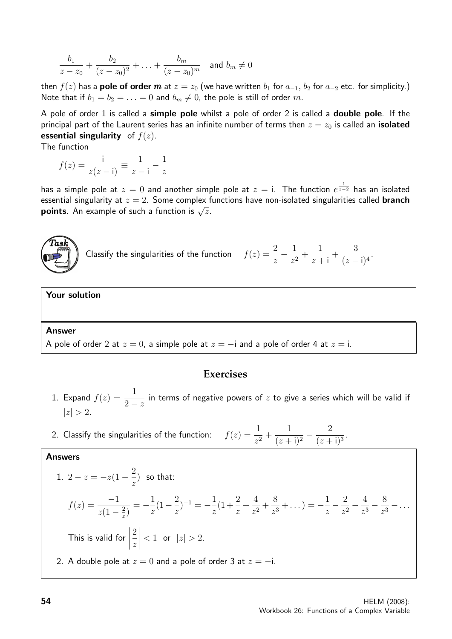$$
\frac{b_1}{z-z_0} + \frac{b_2}{(z-z_0)^2} + \ldots + \frac{b_m}{(z-z_0)^m} \quad \text{and } b_m \neq 0
$$

then  $f(z)$  has a **pole of order** m at  $z = z_0$  (we have written  $b_1$  for  $a_{-1}$ ,  $b_2$  for  $a_{-2}$  etc. for simplicity.) Note that if  $b_1 = b_2 = \ldots = 0$  and  $b_m \neq 0$ , the pole is still of order m.

A pole of order 1 is called a simple pole whilst a pole of order 2 is called a double pole. If the principal part of the Laurent series has an infinite number of terms then  $z = z_0$  is called an **isolated** essential singularity of  $f(z)$ .

The function

$$
f(z) = \frac{i}{z(z-i)} \equiv \frac{1}{z-i} - \frac{1}{z}
$$

has a simple pole at  $z=0$  and another simple pole at  $z=\mathsf{i}.$  The function  $e^{\frac{1}{z-2}}$  has an isolated essential singularity at  $z = 2$ . Some complex functions have non-isolated singularities called **branch** Essential singularity at  $z = 2$ . Some complex is  $\sqrt{z}$ .



Classify the singularities of the function

$$
f(z) = \frac{2}{z} - \frac{1}{z^2} + \frac{1}{z+i} + \frac{3}{(z-i)^4}.
$$

#### Your solution

#### **Answer**

A pole of order 2 at  $z = 0$ , a simple pole at  $z = -i$  and a pole of order 4 at  $z = i$ .

#### **Exercises**

- 1. Expand  $f(z) = \frac{1}{2}$  $2-z$ in terms of negative powers of  $z$  to give a series which will be valid if  $|z| > 2$ .
- 2. Classify the singularities of the function:  $\frac{1}{z^2}$  + 1  $\frac{1}{(z + i)^2} - \frac{2}{(z + i)^2}$  $\frac{2}{(z+i)^3}$

#### Answers

1. 
$$
2 - z = -z(1 - \frac{2}{z})
$$
 so that:  
\n
$$
f(z) = \frac{-1}{z(1 - \frac{2}{z})} = -\frac{1}{z}(1 - \frac{2}{z})^{-1} = -\frac{1}{z}(1 + \frac{2}{z} + \frac{4}{z^2} + \frac{8}{z^3} + \dots) = -\frac{1}{z} - \frac{2}{z^2} - \frac{4}{z^3} - \frac{8}{z^3} - \dots
$$
\nThis is valid for  $\left|\frac{2}{z}\right| < 1$  or  $|z| > 2$ .  
\n2. A double pole at  $z = 0$  and a pole of order 3 at  $z = -i$ .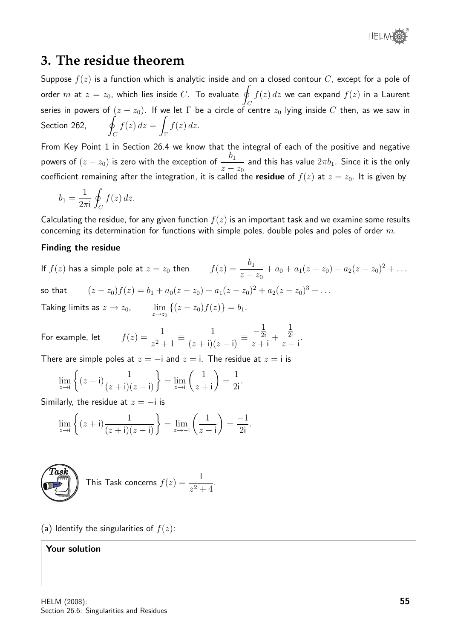

#### **3. The residue theorem**

Suppose  $f(z)$  is a function which is analytic inside and on a closed contour C, except for a pole of order  $m$  at  $z=z_0$ , which lies inside  $C$ . To evaluate  $q$ C  $f(z)\,dz$  we can expand  $f(z)$  in a Laurent series in powers of  $(z - z_0)$ . If we let  $\Gamma$  be a circle of centre  $z_0$  lying inside C then, as we saw in Section 262,  $\mathcal{C}_{0}^{(n)}$  $f(z) dz =$ Γ  $f(z)$  dz.

From Key Point 1 in Section 26.4 we know that the integral of each of the positive and negative powers of  $(z-z_0)$  is zero with the exception of  $\frac{b_1}{z}$  $z - z_0$ and this has value  $2\pi b_1$ . Since it is the only coefficient remaining after the integration, it is called the residue of  $f(z)$  at  $z = z_0$ . It is given by

$$
b_1 = \frac{1}{2\pi i} \oint_C f(z) dz.
$$

Calculating the residue, for any given function  $f(z)$  is an important task and we examine some results concerning its determination for functions with simple poles, double poles and poles of order  $m$ .

#### Finding the residue

If 
$$
f(z)
$$
 has a simple pole at  $z = z_0$  then  $f(z) = \frac{b_1}{z - z_0} + a_0 + a_1(z - z_0) + a_2(z - z_0)^2 + \dots$   
so that  $(z - z_0)f(z) = b_1 + a_0(z - z_0) + a_1(z - z_0)^2 + a_2(z - z_0)^3 + \dots$   
Taking limits as  $z \to z_0$ ,  $\lim_{z \to z_0} \{(z - z_0)f(z)\} = b_1$ .

For example, let  $f(z) = \frac{1}{z-1}$  $z^2 + 1$  $\equiv \frac{1}{(1+i)^2}$  $(z + i)(z - i)$ ≡  $-\frac{1}{2i}$  $z + i$  $+$  $\frac{1}{2i}$  $z - i$ .

There are simple poles at  $z = -i$  and  $z = i$ . The residue at  $z = i$  is

$$
\lim_{z \to i} \left\{ (z - i) \frac{1}{(z + i)(z - i)} \right\} = \lim_{z \to i} \left( \frac{1}{z + i} \right) = \frac{1}{2i}.
$$

Similarly, the residue at  $z = -i$  is

$$
\lim_{z \to i} \left\{ (z + i) \frac{1}{(z + i)(z - i)} \right\} = \lim_{z \to -i} \left( \frac{1}{z - i} \right) = \frac{-1}{2i}.
$$



This Task concerns  $f(z) = \frac{1}{z-1}$  $\frac{1}{z^2+4}$ .

(a) Identify the singularities of  $f(z)$ :

Your solution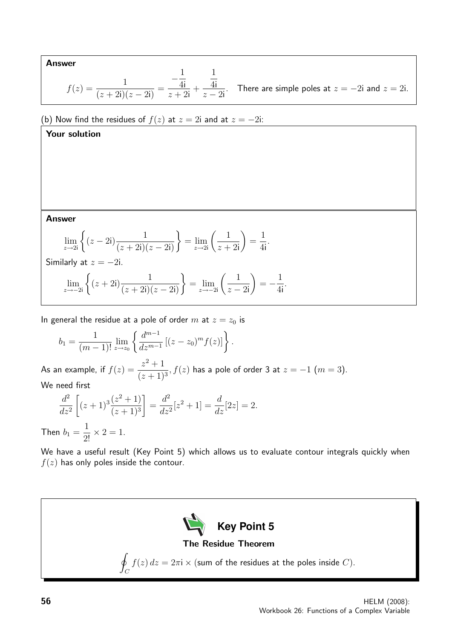Answer

$$
f(z) = \frac{1}{(z+2i)(z-2i)} = \frac{-\frac{1}{4i}}{z+2i} + \frac{\frac{1}{4i}}{z-2i}.
$$
 There are simple poles at  $z = -2i$  and  $z = 2i$ .

(b) Now find the residues of  $f(z)$  at  $z = 2i$  and at  $z = -2i$ :

Your solution

Answer

$$
\lim_{z \to 2i} \left\{ (z - 2i) \frac{1}{(z + 2i)(z - 2i)} \right\} = \lim_{z \to 2i} \left( \frac{1}{z + 2i} \right) = \frac{1}{4i}.
$$
  
Similarly at  $z = -2i$ .

$$
\lim_{z \to -2i} \left\{ (z+2i) \frac{1}{(z+2i)(z-2i)} \right\} = \lim_{z \to -2i} \left( \frac{1}{z-2i} \right) = -\frac{1}{4i}.
$$

In general the residue at a pole of order  $m$  at  $z = z_0$  is

$$
b_1 = \frac{1}{(m-1)!} \lim_{z \to z_0} \left\{ \frac{d^{m-1}}{dz^{m-1}} \left[ (z - z_0)^m f(z) \right] \right\}.
$$

As an example, if  $f(z) = \frac{z^2 + 1}{(z-1)^2}$  $(z + 1)^3$ ,  $f(z)$  has a pole of order 3 at  $z=-1$   $(m=3)$ . We need first

$$
\frac{d^2}{dz^2} \left[ (z+1)^3 \frac{(z^2+1)}{(z+1)^3} \right] = \frac{d^2}{dz^2} [z^2+1] = \frac{d}{dz} [2z] = 2.
$$

Then  $b_1 =$  $\frac{1}{2!} \times 2 = 1.$ 

We have a useful result (Key Point 5) which allows us to evaluate contour integrals quickly when  $f(z)$  has only poles inside the contour.

**Key Point 5** The Residue Theorem I  $\mathcal C$  $f(z) dz = 2\pi i \times$  (sum of the residues at the poles inside C).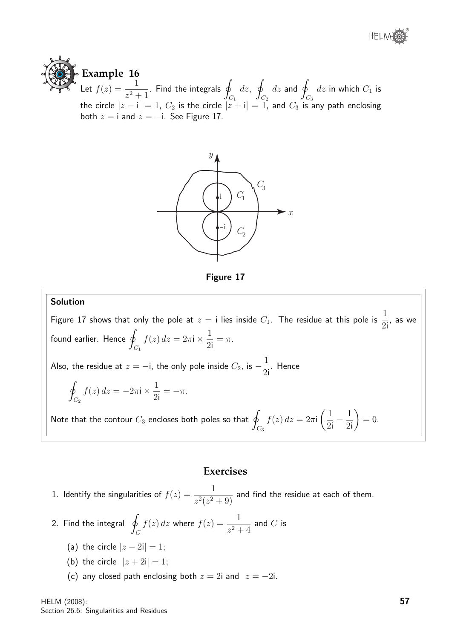





Figure 17

#### Solution

Figure 17 shows that only the pole at  $z=$  i lies inside  $C_1$ . The residue at this pole is  $\dfrac{1}{2{\rm i}}$ , as we found earlier. Hence  $q$  $C_1$  $f(z) dz = 2\pi i \times \frac{1}{\infty}$ 2i  $=$   $\pi$ . Also, the residue at  $z = -\mathrm{i}$ , the only pole inside  $C_2$ , is  $-\frac{1}{2}$ 2i . Hence l<br>I  $C_{2}$  $f(z) dz = -2\pi i \times \frac{1}{2}$ 2i  $=-\pi$ . Note that the contour  $C_3$  encloses both poles so that  $|q|$  $C_3$  $f(z) dz = 2\pi i$  $\sqrt{1}$ 2i  $-\frac{1}{2}$ 2i  $\setminus$  $= 0.$ 

#### **Exercises**

1. Identify the singularities of  $f(z) = \frac{1}{z^2+z^2}$  $\frac{1}{z^2(z^2+9)}$  and find the residue at each of them.

- 2. Find the integral  $\phi$  $\mathcal{C}_{0}^{(n)}$  $f(z) dz$  where  $f(z) = \frac{1}{z}$  $\frac{1}{z^2+4}$  and  $C$  is
	- (a) the circle  $|z 2i| = 1$ ;
	- (b) the circle  $|z + 2i| = 1$ ;
	- (c) any closed path enclosing both  $z = 2i$  and  $z = -2i$ .